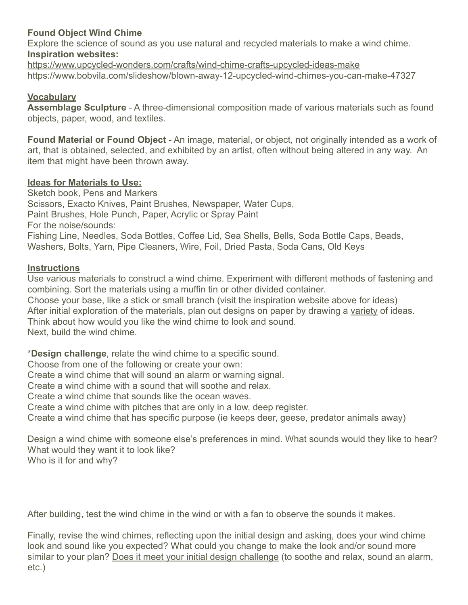# **Found Object Wind Chime**

Explore the science of sound as you use natural and recycled materials to make a wind chime. **Inspiration websites:**

<https://www.upcycled-wonders.com/crafts/wind-chime-crafts-upcycled-ideas-make> https://www.bobvila.com/slideshow/blown-away-12-upcycled-wind-chimes-you-can-make-47327

## **Vocabulary**

**Assemblage Sculpture** - A three-dimensional composition made of various materials such as found objects, paper, wood, and textiles.

**Found Material or Found Object** - An image, material, or object, not originally intended as a work of art, that is obtained, selected, and exhibited by an artist, often without being altered in any way. An item that might have been thrown away.

### **Ideas for Materials to Use:**

Sketch book, Pens and Markers Scissors, Exacto Knives, Paint Brushes, Newspaper, Water Cups, Paint Brushes, Hole Punch, Paper, Acrylic or Spray Paint For the noise/sounds: Fishing Line, Needles, Soda Bottles, Coffee Lid, Sea Shells, Bells, Soda Bottle Caps, Beads, Washers, Bolts, Yarn, Pipe Cleaners, Wire, Foil, Dried Pasta, Soda Cans, Old Keys

### **Instructions**

Use various materials to construct a wind chime. Experiment with different methods of fastening and combining. Sort the materials using a muffin tin or other divided container. Choose your base, like a stick or small branch (visit the inspiration website above for ideas) After initial exploration of the materials, plan out designs on paper by drawing a variety of ideas. Think about how would you like the wind chime to look and sound. Next, build the wind chime.

\***Design challenge**, relate the wind chime to a specific sound.

Choose from one of the following or create your own:

Create a wind chime that will sound an alarm or warning signal.

Create a wind chime with a sound that will soothe and relax.

Create a wind chime that sounds like the ocean waves.

Create a wind chime with pitches that are only in a low, deep register.

Create a wind chime that has specific purpose (ie keeps deer, geese, predator animals away)

Design a wind chime with someone else's preferences in mind. What sounds would they like to hear? What would they want it to look like? Who is it for and why?

After building, test the wind chime in the wind or with a fan to observe the sounds it makes.

Finally, revise the wind chimes, reflecting upon the initial design and asking, does your wind chime look and sound like you expected? What could you change to make the look and/or sound more similar to your plan? Does it meet your initial design challenge (to soothe and relax, sound an alarm, etc.)